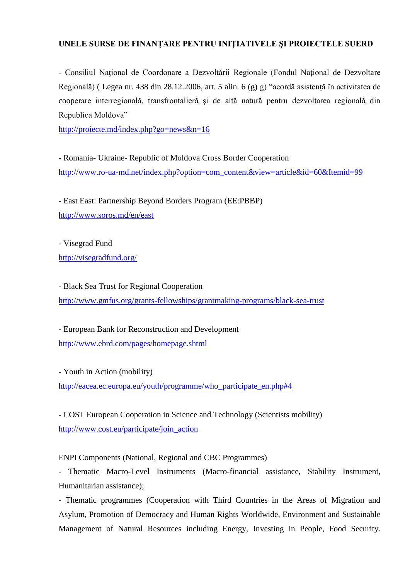## **UNELE SURSE DE FINANŢARE PENTRU INIŢIATIVELE ŞI PROIECTELE SUERD**

- Consiliul Naţional de Coordonare a Dezvoltării Regionale (Fondul Național de Dezvoltare Regională) ( Legea nr. 438 din 28.12.2006, art. 5 alin. 6 (g) g) "acordă asistenţă în activitatea de cooperare interregională, transfrontalieră şi de altă natură pentru dezvoltarea regională din Republica Moldova"

<http://proiecte.md/index.php?go=news&n=16>

- Romania- Ukraine- Republic of Moldova Cross Border Cooperation [http://www.ro-ua-md.net/index.php?option=com\\_content&view=article&id=60&Itemid=99](http://www.ro-ua-md.net/index.php?option=com_content&view=article&id=60&Itemid=99)

- East East: Partnership Beyond Borders Program (EE:PBBP) <http://www.soros.md/en/east>

- Visegrad Fund <http://visegradfund.org/>

- Black Sea Trust for Regional Cooperation <http://www.gmfus.org/grants-fellowships/grantmaking-programs/black-sea-trust>

- European Bank for Reconstruction and Development <http://www.ebrd.com/pages/homepage.shtml>

- Youth in Action (mobility) [http://eacea.ec.europa.eu/youth/programme/who\\_participate\\_en.php#4](http://eacea.ec.europa.eu/youth/programme/who_participate_en.php#4)

- COST European Cooperation in Science and Technology (Scientists mobility) [http://www.cost.eu/participate/join\\_action](http://www.cost.eu/participate/join_action)

ENPI Components (National, Regional and CBC Programmes)

- Thematic Macro-Level Instruments (Macro-financial assistance, Stability Instrument, Humanitarian assistance);

- Thematic programmes (Cooperation with Third Countries in the Areas of Migration and Asylum, Promotion of Democracy and Human Rights Worldwide, Environment and Sustainable Management of Natural Resources including Energy, Investing in People, Food Security.